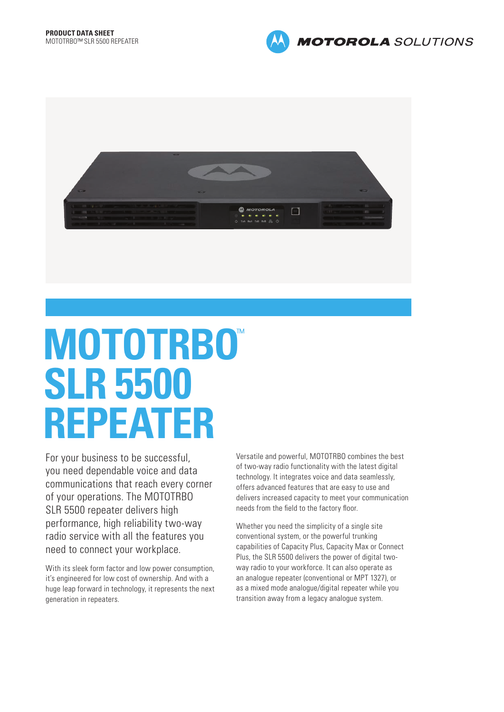



# **MOTOTRBO**™ **SLR 5500 REPEATER**

For your business to be successful, you need dependable voice and data communications that reach every corner of your operations. The MOTOTRBO SLR 5500 repeater delivers high performance, high reliability two-way radio service with all the features you need to connect your workplace.

With its sleek form factor and low power consumption, it's engineered for low cost of ownership. And with a huge leap forward in technology, it represents the next generation in repeaters.

Versatile and powerful, MOTOTRBO combines the best of two-way radio functionality with the latest digital technology. It integrates voice and data seamlessly, offers advanced features that are easy to use and delivers increased capacity to meet your communication needs from the field to the factory floor.

Whether you need the simplicity of a single site conventional system, or the powerful trunking capabilities of Capacity Plus, Capacity Max or Connect Plus, the SLR 5500 delivers the power of digital twoway radio to your workforce. It can also operate as an analogue repeater (conventional or MPT 1327), or as a mixed mode analogue/digital repeater while you transition away from a legacy analogue system.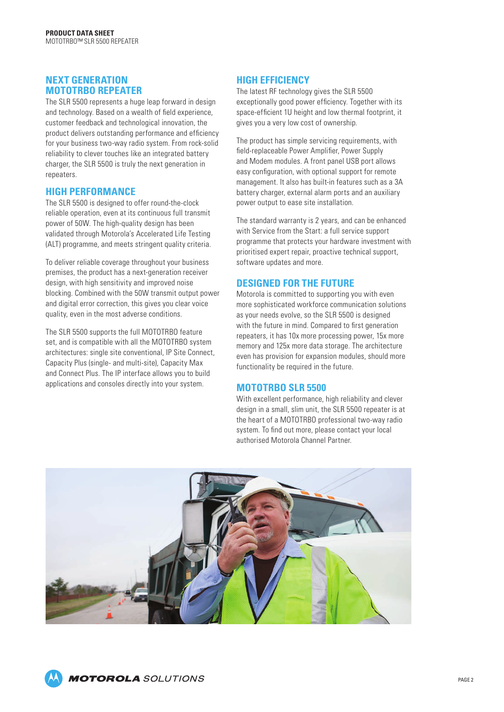#### **NEXT GENERATION MOTOTRBO REPEATER**

The SLR 5500 represents a huge leap forward in design and technology. Based on a wealth of field experience, customer feedback and technological innovation, the product delivers outstanding performance and efficiency for your business two-way radio system. From rock-solid reliability to clever touches like an integrated battery charger, the SLR 5500 is truly the next generation in repeaters.

#### **HIGH PERFORMANCE**

The SLR 5500 is designed to offer round-the-clock reliable operation, even at its continuous full transmit power of 50W. The high-quality design has been validated through Motorola's Accelerated Life Testing (ALT) programme, and meets stringent quality criteria.

To deliver reliable coverage throughout your business premises, the product has a next-generation receiver design, with high sensitivity and improved noise blocking. Combined with the 50W transmit output power and digital error correction, this gives you clear voice quality, even in the most adverse conditions.

The SLR 5500 supports the full MOTOTRBO feature set, and is compatible with all the MOTOTRBO system architectures: single site conventional, IP Site Connect, Capacity Plus (single- and multi-site), Capacity Max and Connect Plus. The IP interface allows you to build applications and consoles directly into your system.

### **HIGH EFFICIENCY**

The latest RF technology gives the SLR 5500 exceptionally good power efficiency. Together with its space-efficient 1U height and low thermal footprint, it gives you a very low cost of ownership.

The product has simple servicing requirements, with field-replaceable Power Amplifier, Power Supply and Modem modules. A front panel USB port allows easy configuration, with optional support for remote management. It also has built-in features such as a 3A battery charger, external alarm ports and an auxiliary power output to ease site installation.

The standard warranty is 2 years, and can be enhanced with Service from the Start: a full service support programme that protects your hardware investment with prioritised expert repair, proactive technical support, software updates and more.

## **DESIGNED FOR THE FUTURE**

Motorola is committed to supporting you with even more sophisticated workforce communication solutions as your needs evolve, so the SLR 5500 is designed with the future in mind. Compared to first generation repeaters, it has 10x more processing power, 15x more memory and 125x more data storage. The architecture even has provision for expansion modules, should more functionality be required in the future.

#### **MOTOTRBO SLR 5500**

With excellent performance, high reliability and clever design in a small, slim unit, the SLR 5500 repeater is at the heart of a MOTOTRBO professional two-way radio system. To find out more, please contact your local authorised Motorola Channel Partner.



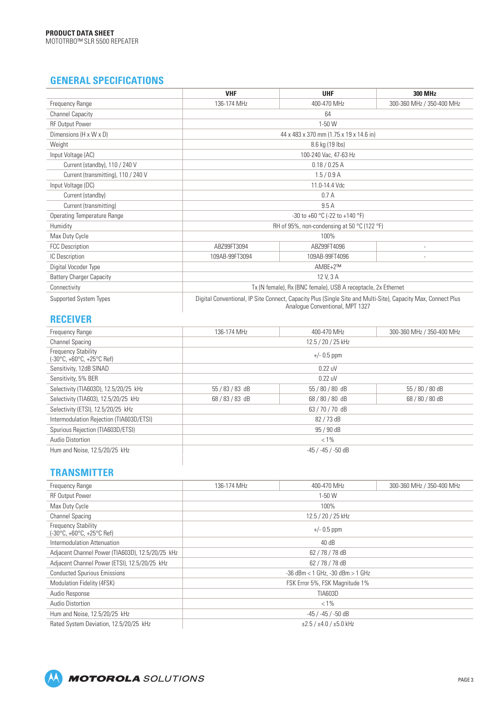# **GENERAL SPECIFICATIONS**

|                                     | <b>VHF</b>                                                                                                                                       | <b>UHF</b>     | <b>300 MHz</b>            |  |
|-------------------------------------|--------------------------------------------------------------------------------------------------------------------------------------------------|----------------|---------------------------|--|
| Frequency Range                     | 136-174 MHz                                                                                                                                      | 400-470 MHz    | 300-360 MHz / 350-400 MHz |  |
| <b>Channel Capacity</b>             | 64                                                                                                                                               |                |                           |  |
| <b>RF Output Power</b>              | $1-50$ W                                                                                                                                         |                |                           |  |
| Dimensions (H x W x D)              | 44 x 483 x 370 mm (1.75 x 19 x 14.6 in)                                                                                                          |                |                           |  |
| Weight                              | 8.6 kg (19 lbs)                                                                                                                                  |                |                           |  |
| Input Voltage (AC)                  | 100-240 Vac, 47-63 Hz                                                                                                                            |                |                           |  |
| Current (standby), 110 / 240 V      | 0.18 / 0.25 A                                                                                                                                    |                |                           |  |
| Current (transmitting), 110 / 240 V | 1.5/0.9 A                                                                                                                                        |                |                           |  |
| Input Voltage (DC)                  | 11.0-14.4 Vdc                                                                                                                                    |                |                           |  |
| Current (standby)                   | 0.7A                                                                                                                                             |                |                           |  |
| Current (transmitting)              | 9.5A                                                                                                                                             |                |                           |  |
| <b>Operating Temperature Range</b>  | -30 to +60 $^{\circ}$ C (-22 to +140 $^{\circ}$ F)                                                                                               |                |                           |  |
| Humidity                            | RH of 95%, non-condensing at 50 °C (122 °F)                                                                                                      |                |                           |  |
| Max Duty Cycle                      | 100%                                                                                                                                             |                |                           |  |
| <b>FCC Description</b>              | ABZ99FT3094                                                                                                                                      | ABZ99FT4096    | $\overline{\phantom{a}}$  |  |
| IC Description                      | 109AB-99FT3094                                                                                                                                   | 109AB-99FT4096 |                           |  |
| Digital Vocoder Type                | $AMBE+2^{TM}$                                                                                                                                    |                |                           |  |
| <b>Battery Charger Capacity</b>     | 12 V. 3 A                                                                                                                                        |                |                           |  |
| Connectivity                        | Tx (N female), Rx (BNC female), USB A receptacle, 2x Ethernet                                                                                    |                |                           |  |
| Supported System Types              | Digital Conventional, IP Site Connect, Capacity Plus (Single Site and Multi-Site), Capacity Max, Connect Plus<br>Analogue Conventional, MPT 1327 |                |                           |  |

## **RECEIVER**

| Frequency Range                                                                | 136-174 MHz        | 400-470 MHz     | 300-360 MHz / 350-400 MHz |  |
|--------------------------------------------------------------------------------|--------------------|-----------------|---------------------------|--|
| <b>Channel Spacing</b>                                                         | 12.5 / 20 / 25 kHz |                 |                           |  |
| <b>Frequency Stability</b><br>$(-30^{\circ}C, +60^{\circ}C, +25^{\circ}C$ Ref) | $+/- 0.5$ ppm      |                 |                           |  |
| Sensitivity, 12dB SINAD                                                        | 0.22 uV            |                 |                           |  |
| Sensitivity, 5% BER                                                            | $0.22$ uV          |                 |                           |  |
| Selectivity (TIA603D), 12.5/20/25 kHz                                          | 55 / 83 / 83 dB    | 55 / 80 / 80 dB | 55 / 80 / 80 dB           |  |
| Selectivity (TIA603), 12.5/20/25 kHz                                           | 68/83/83 dB        | 68/80/80 dB     | 68 / 80 / 80 dB           |  |
| Selectivity (ETSI), 12.5/20/25 kHz                                             | 63/70/70 dB        |                 |                           |  |
| Intermodulation Rejection (TIA603D/ETSI)                                       | 82 / 73 dB         |                 |                           |  |
| Spurious Rejection (TIA603D/ETSI)                                              | 95 / 90 dB         |                 |                           |  |
| Audio Distortion                                                               | $< 1\%$            |                 |                           |  |
| Hum and Noise, 12.5/20/25 kHz                                                  | -45 / -45 / -50 dB |                 |                           |  |
|                                                                                |                    |                 |                           |  |

#### **TRANSMITTER**

| Frequency Range                                                                | 136-174 MHz                              | 400-470 MHz | 300-360 MHz / 350-400 MHz |
|--------------------------------------------------------------------------------|------------------------------------------|-------------|---------------------------|
| <b>RF Output Power</b>                                                         | $1-50$ W                                 |             |                           |
| Max Duty Cycle                                                                 | 100%                                     |             |                           |
| <b>Channel Spacing</b>                                                         | 12.5 / 20 / 25 kHz                       |             |                           |
| <b>Frequency Stability</b><br>$(-30^{\circ}C, +60^{\circ}C, +25^{\circ}C$ Ref) | $+/- 0.5$ ppm                            |             |                           |
| Intermodulation Attenuation                                                    | 40dB                                     |             |                           |
| Adjacent Channel Power (TIA603D), 12.5/20/25 kHz                               | 62/78/78 dB                              |             |                           |
| Adjacent Channel Power (ETSI), 12.5/20/25 kHz                                  | 62 / 78 / 78 dB                          |             |                           |
| <b>Conducted Spurious Emissions</b>                                            | $-36$ dBm $<$ 1 GHz, $-30$ dBm $>$ 1 GHz |             |                           |
| Modulation Fidelity (4FSK)                                                     | FSK Error 5%, FSK Magnitude 1%           |             |                           |
| Audio Response                                                                 | <b>TIA603D</b>                           |             |                           |
| Audio Distortion                                                               | $< 1\%$                                  |             |                           |
| Hum and Noise, 12.5/20/25 kHz                                                  | -45 / -45 / -50 dB                       |             |                           |
| Rated System Deviation, 12.5/20/25 kHz                                         | $\pm 2.5 / \pm 4.0 / \pm 5.0$ kHz        |             |                           |